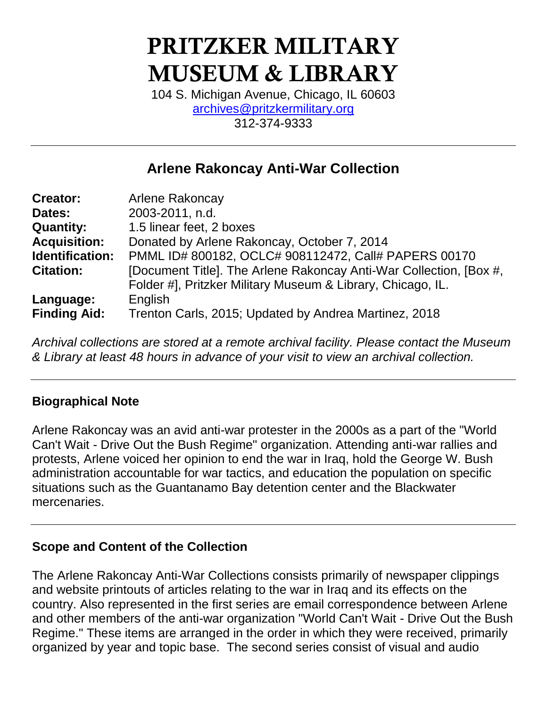# PRITZKER MILITARY MUSEUM & LIBRARY

104 S. Michigan Avenue, Chicago, IL 60603 [archives@pritzkermilitary.org](mailto:archives@pritzkermilitary.org) 312-374-9333

# **Arlene Rakoncay Anti-War Collection**

| <b>Creator:</b>     | Arlene Rakoncay                                                    |
|---------------------|--------------------------------------------------------------------|
| Dates:              | 2003-2011, n.d.                                                    |
| <b>Quantity:</b>    | 1.5 linear feet, 2 boxes                                           |
| <b>Acquisition:</b> | Donated by Arlene Rakoncay, October 7, 2014                        |
| Identification:     | PMML ID# 800182, OCLC# 908112472, Call# PAPERS 00170               |
| <b>Citation:</b>    | [Document Title]. The Arlene Rakoncay Anti-War Collection, [Box #, |
|                     | Folder #], Pritzker Military Museum & Library, Chicago, IL.        |
| Language:           | English                                                            |
| <b>Finding Aid:</b> | Trenton Carls, 2015; Updated by Andrea Martinez, 2018              |

*Archival collections are stored at a remote archival facility. Please contact the Museum & Library at least 48 hours in advance of your visit to view an archival collection.*

## **Biographical Note**

Arlene Rakoncay was an avid anti-war protester in the 2000s as a part of the "World Can't Wait - Drive Out the Bush Regime" organization. Attending anti-war rallies and protests, Arlene voiced her opinion to end the war in Iraq, hold the George W. Bush administration accountable for war tactics, and education the population on specific situations such as the Guantanamo Bay detention center and the Blackwater mercenaries.

## **Scope and Content of the Collection**

The Arlene Rakoncay Anti-War Collections consists primarily of newspaper clippings and website printouts of articles relating to the war in Iraq and its effects on the country. Also represented in the first series are email correspondence between Arlene and other members of the anti-war organization "World Can't Wait - Drive Out the Bush Regime." These items are arranged in the order in which they were received, primarily organized by year and topic base. The second series consist of visual and audio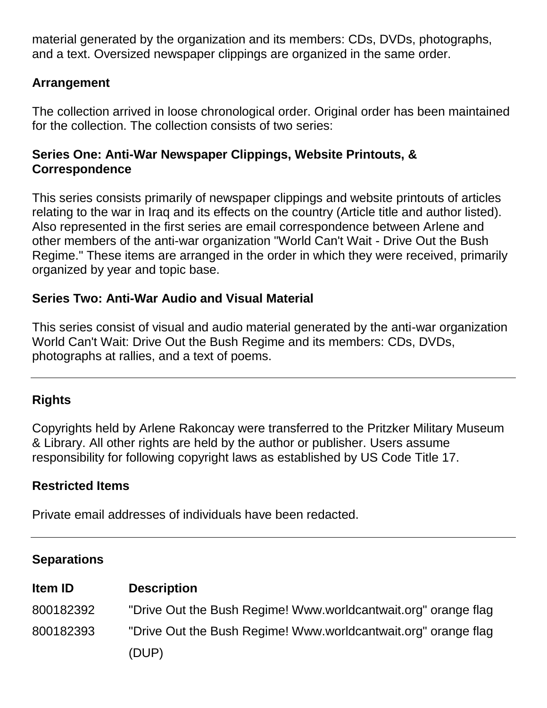material generated by the organization and its members: CDs, DVDs, photographs, and a text. Oversized newspaper clippings are organized in the same order.

# **Arrangement**

The collection arrived in loose chronological order. Original order has been maintained for the collection. The collection consists of two series:

#### **Series One: Anti-War Newspaper Clippings, Website Printouts, & Correspondence**

This series consists primarily of newspaper clippings and website printouts of articles relating to the war in Iraq and its effects on the country (Article title and author listed). Also represented in the first series are email correspondence between Arlene and other members of the anti-war organization "World Can't Wait - Drive Out the Bush Regime." These items are arranged in the order in which they were received, primarily organized by year and topic base.

# **Series Two: Anti-War Audio and Visual Material**

This series consist of visual and audio material generated by the anti-war organization World Can't Wait: Drive Out the Bush Regime and its members: CDs, DVDs, photographs at rallies, and a text of poems.

# **Rights**

Copyrights held by Arlene Rakoncay were transferred to the Pritzker Military Museum & Library. All other rights are held by the author or publisher. Users assume responsibility for following copyright laws as established by US Code Title 17.

# **Restricted Items**

Private email addresses of individuals have been redacted.

## **Separations**

| <b>Item ID</b> | <b>Description</b>                                             |
|----------------|----------------------------------------------------------------|
| 800182392      | "Drive Out the Bush Regime! Www.worldcantwait.org" orange flag |
| 800182393      | "Drive Out the Bush Regime! Www.worldcantwait.org" orange flag |
|                | (DUP)                                                          |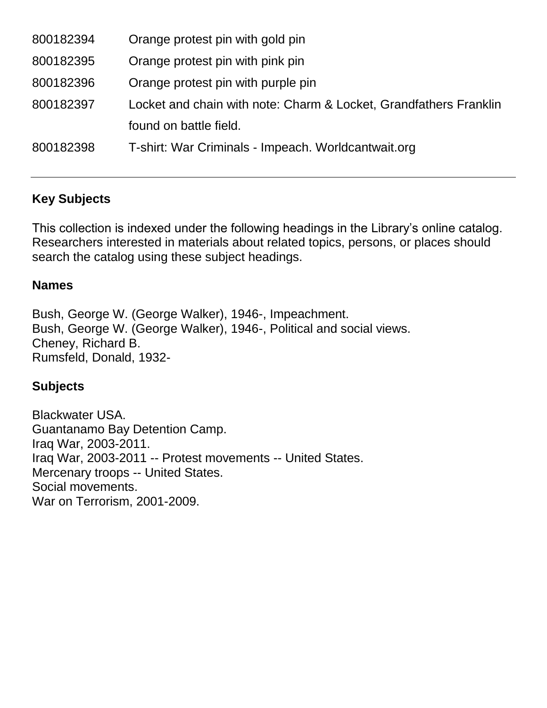| 800182394 | Orange protest pin with gold pin                                  |
|-----------|-------------------------------------------------------------------|
| 800182395 | Orange protest pin with pink pin                                  |
| 800182396 | Orange protest pin with purple pin                                |
| 800182397 | Locket and chain with note: Charm & Locket, Grandfathers Franklin |
|           | found on battle field.                                            |
| 800182398 | T-shirt: War Criminals - Impeach. Worldcantwait.org               |

# **Key Subjects**

This collection is indexed under the following headings in the Library's online catalog. Researchers interested in materials about related topics, persons, or places should search the catalog using these subject headings.

#### **Names**

Bush, George W. (George Walker), 1946-, Impeachment. Bush, George W. (George Walker), 1946-, Political and social views. Cheney, Richard B. Rumsfeld, Donald, 1932-

#### **Subjects**

Blackwater USA. Guantanamo Bay Detention Camp. Iraq War, 2003-2011. Iraq War, 2003-2011 -- Protest movements -- United States. Mercenary troops -- United States. Social movements. War on Terrorism, 2001-2009.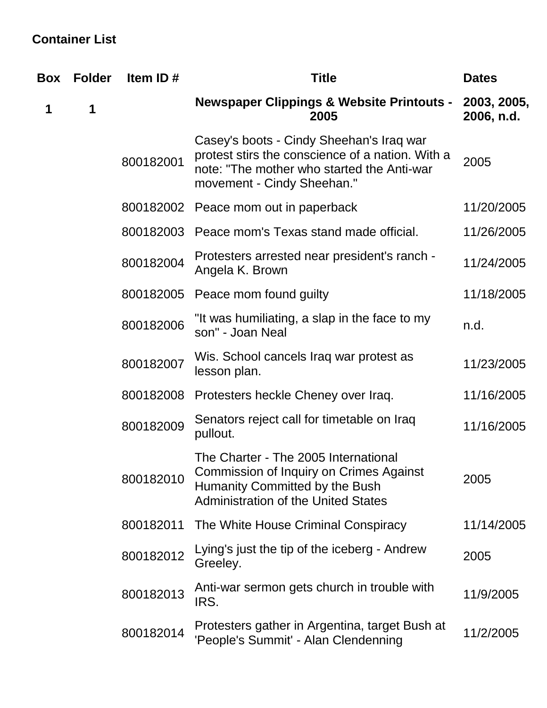# **Container List**

| Box | <b>Folder</b> | Item ID#  | <b>Title</b>                                                                                                                                                             | <b>Dates</b>              |
|-----|---------------|-----------|--------------------------------------------------------------------------------------------------------------------------------------------------------------------------|---------------------------|
| 1   | 1             |           | <b>Newspaper Clippings &amp; Website Printouts -</b><br>2005                                                                                                             | 2003, 2005,<br>2006, n.d. |
|     |               | 800182001 | Casey's boots - Cindy Sheehan's Iraq war<br>protest stirs the conscience of a nation. With a<br>note: "The mother who started the Anti-war<br>movement - Cindy Sheehan." | 2005                      |
|     |               |           | 800182002 Peace mom out in paperback                                                                                                                                     | 11/20/2005                |
|     |               | 800182003 | Peace mom's Texas stand made official.                                                                                                                                   | 11/26/2005                |
|     |               | 800182004 | Protesters arrested near president's ranch -<br>Angela K. Brown                                                                                                          | 11/24/2005                |
|     |               | 800182005 | Peace mom found guilty                                                                                                                                                   | 11/18/2005                |
|     |               | 800182006 | "It was humiliating, a slap in the face to my<br>son" - Joan Neal                                                                                                        | n.d.                      |
|     |               | 800182007 | Wis. School cancels Iraq war protest as<br>lesson plan.                                                                                                                  | 11/23/2005                |
|     |               | 800182008 | Protesters heckle Cheney over Iraq.                                                                                                                                      | 11/16/2005                |
|     |               | 800182009 | Senators reject call for timetable on Iraq<br>pullout.                                                                                                                   | 11/16/2005                |
|     |               | 800182010 | The Charter - The 2005 International<br><b>Commission of Inquiry on Crimes Against</b><br>Humanity Committed by the Bush<br><b>Administration of the United States</b>   | 2005                      |
|     |               | 800182011 | The White House Criminal Conspiracy                                                                                                                                      | 11/14/2005                |
|     |               | 800182012 | Lying's just the tip of the iceberg - Andrew<br>Greeley.                                                                                                                 | 2005                      |
|     |               | 800182013 | Anti-war sermon gets church in trouble with<br>IRS.                                                                                                                      | 11/9/2005                 |
|     |               | 800182014 | Protesters gather in Argentina, target Bush at<br>'People's Summit' - Alan Clendenning                                                                                   | 11/2/2005                 |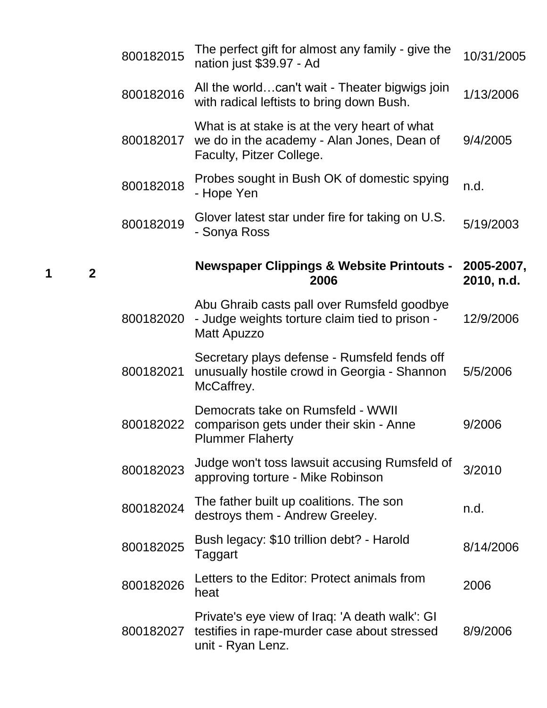| 800182015 | The perfect gift for almost any family - give the<br>nation just \$39.97 - Ad                                           | 10/31/2005               |
|-----------|-------------------------------------------------------------------------------------------------------------------------|--------------------------|
| 800182016 | All the worldcan't wait - Theater bigwigs join<br>with radical leftists to bring down Bush.                             | 1/13/2006                |
| 800182017 | What is at stake is at the very heart of what<br>we do in the academy - Alan Jones, Dean of<br>Faculty, Pitzer College. | 9/4/2005                 |
| 800182018 | Probes sought in Bush OK of domestic spying<br>- Hope Yen                                                               | n.d.                     |
| 800182019 | Glover latest star under fire for taking on U.S.<br>- Sonya Ross                                                        | 5/19/2003                |
|           | <b>Newspaper Clippings &amp; Website Printouts -</b><br>2006                                                            | 2005-2007,<br>2010, n.d. |
| 800182020 | Abu Ghraib casts pall over Rumsfeld goodbye<br>- Judge weights torture claim tied to prison -<br><b>Matt Apuzzo</b>     | 12/9/2006                |
| 800182021 | Secretary plays defense - Rumsfeld fends off<br>unusually hostile crowd in Georgia - Shannon<br>McCaffrey.              | 5/5/2006                 |
| 800182022 | Democrats take on Rumsfeld - WWII<br>comparison gets under their skin - Anne<br><b>Plummer Flaherty</b>                 | 9/2006                   |
| 800182023 | Judge won't toss lawsuit accusing Rumsfeld of<br>approving torture - Mike Robinson                                      | 3/2010                   |
| 800182024 | The father built up coalitions. The son<br>destroys them - Andrew Greeley.                                              | n.d.                     |
| 800182025 | Bush legacy: \$10 trillion debt? - Harold<br>Taggart                                                                    | 8/14/2006                |
| 800182026 | Letters to the Editor: Protect animals from<br>heat                                                                     | 2006                     |
| 800182027 | Private's eye view of Iraq: 'A death walk': GI<br>testifies in rape-murder case about stressed<br>unit - Ryan Lenz.     | 8/9/2006                 |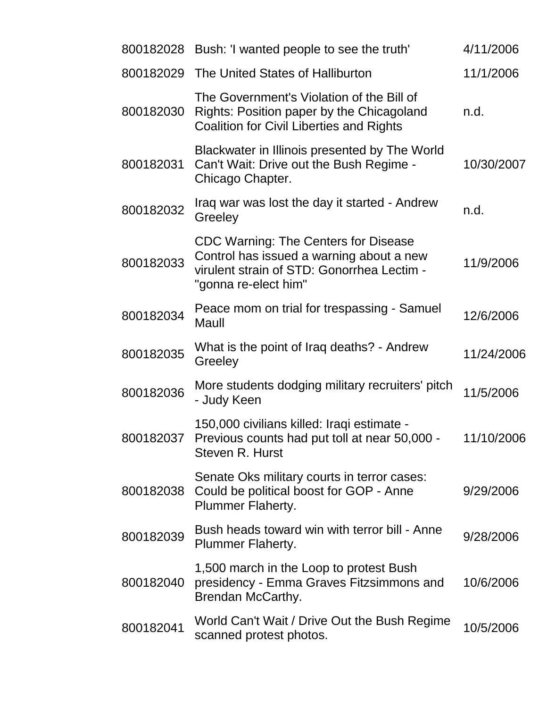|           | 800182028 Bush: 'I wanted people to see the truth'                                                                                                     | 4/11/2006  |
|-----------|--------------------------------------------------------------------------------------------------------------------------------------------------------|------------|
| 800182029 | The United States of Halliburton                                                                                                                       | 11/1/2006  |
| 800182030 | The Government's Violation of the Bill of<br>Rights: Position paper by the Chicagoland<br><b>Coalition for Civil Liberties and Rights</b>              | n.d.       |
| 800182031 | Blackwater in Illinois presented by The World<br>Can't Wait: Drive out the Bush Regime -<br>Chicago Chapter.                                           | 10/30/2007 |
| 800182032 | Iraq war was lost the day it started - Andrew<br>Greeley                                                                                               | n.d.       |
| 800182033 | CDC Warning: The Centers for Disease<br>Control has issued a warning about a new<br>virulent strain of STD: Gonorrhea Lectim -<br>"gonna re-elect him" | 11/9/2006  |
| 800182034 | Peace mom on trial for trespassing - Samuel<br>Maull                                                                                                   | 12/6/2006  |
| 800182035 | What is the point of Iraq deaths? - Andrew<br>Greeley                                                                                                  | 11/24/2006 |
| 800182036 | More students dodging military recruiters' pitch<br>- Judy Keen                                                                                        | 11/5/2006  |
| 800182037 | 150,000 civilians killed: Iraqi estimate -<br>Previous counts had put toll at near 50,000 -<br>Steven R. Hurst                                         | 11/10/2006 |
| 800182038 | Senate Oks military courts in terror cases:<br>Could be political boost for GOP - Anne<br><b>Plummer Flaherty.</b>                                     | 9/29/2006  |
| 800182039 | Bush heads toward win with terror bill - Anne<br><b>Plummer Flaherty.</b>                                                                              | 9/28/2006  |
| 800182040 | 1,500 march in the Loop to protest Bush<br>presidency - Emma Graves Fitzsimmons and<br>Brendan McCarthy.                                               | 10/6/2006  |
| 800182041 | World Can't Wait / Drive Out the Bush Regime<br>scanned protest photos.                                                                                | 10/5/2006  |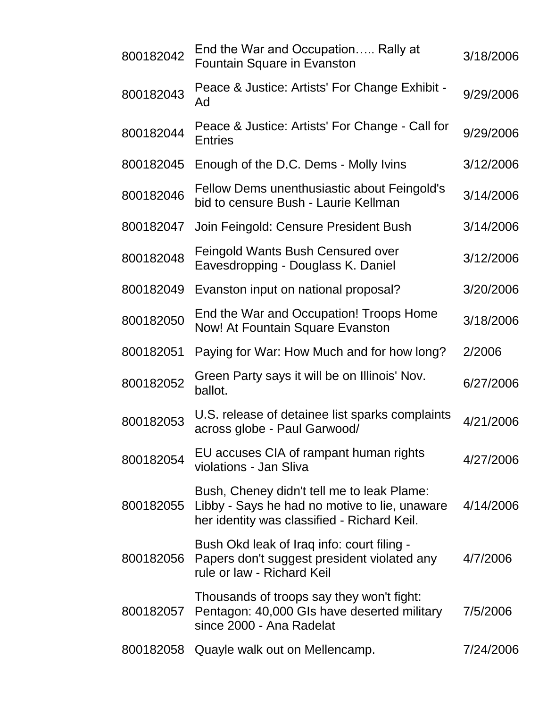| 800182042 | End the War and Occupation Rally at<br><b>Fountain Square in Evanston</b>                                                                  | 3/18/2006 |
|-----------|--------------------------------------------------------------------------------------------------------------------------------------------|-----------|
| 800182043 | Peace & Justice: Artists' For Change Exhibit -<br>Ad                                                                                       | 9/29/2006 |
| 800182044 | Peace & Justice: Artists' For Change - Call for<br><b>Entries</b>                                                                          | 9/29/2006 |
| 800182045 | Enough of the D.C. Dems - Molly Ivins                                                                                                      | 3/12/2006 |
| 800182046 | Fellow Dems unenthusiastic about Feingold's<br>bid to censure Bush - Laurie Kellman                                                        | 3/14/2006 |
| 800182047 | Join Feingold: Censure President Bush                                                                                                      | 3/14/2006 |
| 800182048 | Feingold Wants Bush Censured over<br>Eavesdropping - Douglass K. Daniel                                                                    | 3/12/2006 |
| 800182049 | Evanston input on national proposal?                                                                                                       | 3/20/2006 |
| 800182050 | End the War and Occupation! Troops Home<br><b>Now! At Fountain Square Evanston</b>                                                         | 3/18/2006 |
| 800182051 | Paying for War: How Much and for how long?                                                                                                 | 2/2006    |
| 800182052 | Green Party says it will be on Illinois' Nov.<br>ballot.                                                                                   | 6/27/2006 |
| 800182053 | U.S. release of detainee list sparks complaints<br>across globe - Paul Garwood/                                                            | 4/21/2006 |
| 800182054 | EU accuses CIA of rampant human rights<br>violations - Jan Sliva                                                                           | 4/27/2006 |
| 800182055 | Bush, Cheney didn't tell me to leak Plame:<br>Libby - Says he had no motive to lie, unaware<br>her identity was classified - Richard Keil. | 4/14/2006 |
| 800182056 | Bush Okd leak of Iraq info: court filing -<br>Papers don't suggest president violated any<br>rule or law - Richard Keil                    | 4/7/2006  |
| 800182057 | Thousands of troops say they won't fight:<br>Pentagon: 40,000 GIs have deserted military<br>since 2000 - Ana Radelat                       | 7/5/2006  |
| 800182058 | Quayle walk out on Mellencamp.                                                                                                             | 7/24/2006 |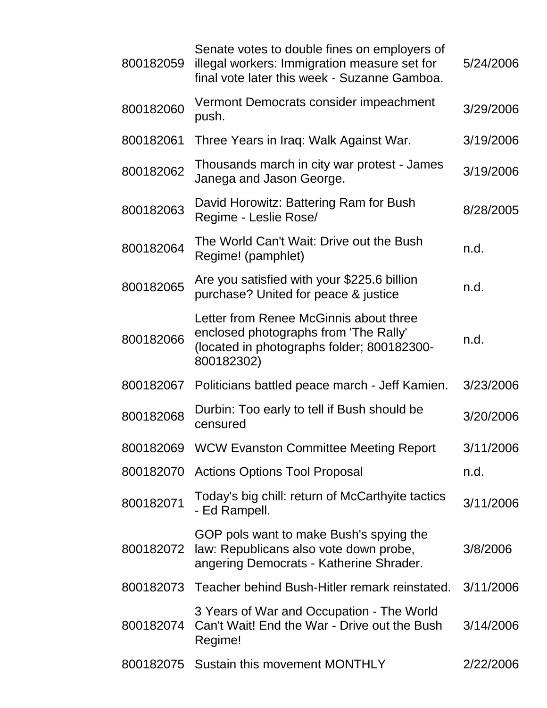| 800182059 | Senate votes to double fines on employers of<br>illegal workers: Immigration measure set for<br>final vote later this week - Suzanne Gamboa. | 5/24/2006 |
|-----------|----------------------------------------------------------------------------------------------------------------------------------------------|-----------|
| 800182060 | Vermont Democrats consider impeachment<br>push.                                                                                              | 3/29/2006 |
| 800182061 | Three Years in Iraq: Walk Against War.                                                                                                       | 3/19/2006 |
| 800182062 | Thousands march in city war protest - James<br>Janega and Jason George.                                                                      | 3/19/2006 |
| 800182063 | David Horowitz: Battering Ram for Bush<br>Regime - Leslie Rose/                                                                              | 8/28/2005 |
| 800182064 | The World Can't Wait: Drive out the Bush<br>Regime! (pamphlet)                                                                               | n.d.      |
| 800182065 | Are you satisfied with your \$225.6 billion<br>purchase? United for peace & justice                                                          | n.d.      |
| 800182066 | Letter from Renee McGinnis about three<br>enclosed photographs from 'The Rally'<br>(located in photographs folder; 800182300-<br>800182302)  | n.d.      |
| 800182067 | Politicians battled peace march - Jeff Kamien.                                                                                               | 3/23/2006 |
| 800182068 | Durbin: Too early to tell if Bush should be<br>censured                                                                                      | 3/20/2006 |
| 800182069 | <b>WCW Evanston Committee Meeting Report</b>                                                                                                 | 3/11/2006 |
| 800182070 | <b>Actions Options Tool Proposal</b>                                                                                                         | n.d.      |
| 800182071 | Today's big chill: return of McCarthyite tactics<br>- Ed Rampell.                                                                            | 3/11/2006 |
| 800182072 | GOP pols want to make Bush's spying the<br>law: Republicans also vote down probe,<br>angering Democrats - Katherine Shrader.                 | 3/8/2006  |
|           | 800182073 Teacher behind Bush-Hitler remark reinstated.                                                                                      | 3/11/2006 |
| 800182074 | 3 Years of War and Occupation - The World<br>Can't Wait! End the War - Drive out the Bush<br>Regime!                                         | 3/14/2006 |
| 800182075 | Sustain this movement MONTHLY                                                                                                                | 2/22/2006 |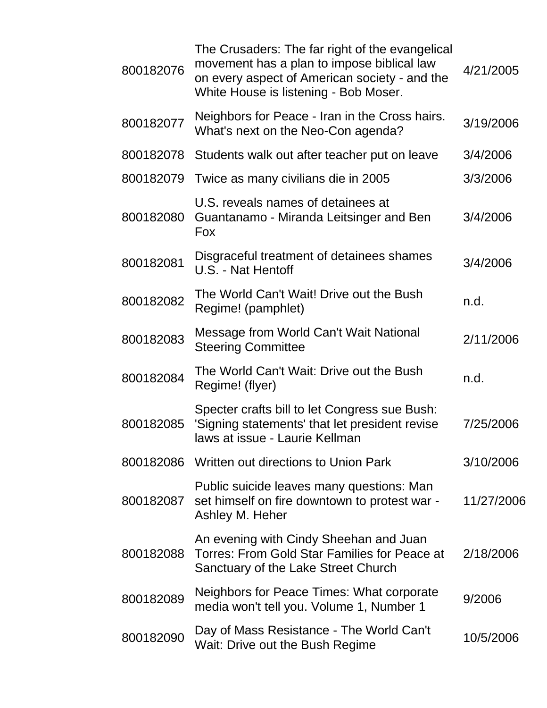| 800182076 | The Crusaders: The far right of the evangelical<br>movement has a plan to impose biblical law<br>on every aspect of American society - and the<br>White House is listening - Bob Moser. | 4/21/2005  |
|-----------|-----------------------------------------------------------------------------------------------------------------------------------------------------------------------------------------|------------|
| 800182077 | Neighbors for Peace - Iran in the Cross hairs.<br>What's next on the Neo-Con agenda?                                                                                                    | 3/19/2006  |
| 800182078 | Students walk out after teacher put on leave                                                                                                                                            | 3/4/2006   |
| 800182079 | Twice as many civilians die in 2005                                                                                                                                                     | 3/3/2006   |
| 800182080 | U.S. reveals names of detainees at<br>Guantanamo - Miranda Leitsinger and Ben<br><b>Fox</b>                                                                                             | 3/4/2006   |
| 800182081 | Disgraceful treatment of detainees shames<br>U.S. - Nat Hentoff                                                                                                                         | 3/4/2006   |
| 800182082 | The World Can't Wait! Drive out the Bush<br>Regime! (pamphlet)                                                                                                                          | n.d.       |
| 800182083 | Message from World Can't Wait National<br><b>Steering Committee</b>                                                                                                                     | 2/11/2006  |
| 800182084 | The World Can't Wait: Drive out the Bush<br>Regime! (flyer)                                                                                                                             | n.d.       |
| 800182085 | Specter crafts bill to let Congress sue Bush:<br>'Signing statements' that let president revise<br>laws at issue - Laurie Kellman                                                       | 7/25/2006  |
|           | 800182086 Written out directions to Union Park                                                                                                                                          | 3/10/2006  |
| 800182087 | Public suicide leaves many questions: Man<br>set himself on fire downtown to protest war -<br>Ashley M. Heher                                                                           | 11/27/2006 |
| 800182088 | An evening with Cindy Sheehan and Juan<br>Torres: From Gold Star Families for Peace at<br>Sanctuary of the Lake Street Church                                                           | 2/18/2006  |
| 800182089 | Neighbors for Peace Times: What corporate<br>media won't tell you. Volume 1, Number 1                                                                                                   | 9/2006     |
| 800182090 | Day of Mass Resistance - The World Can't<br>Wait: Drive out the Bush Regime                                                                                                             | 10/5/2006  |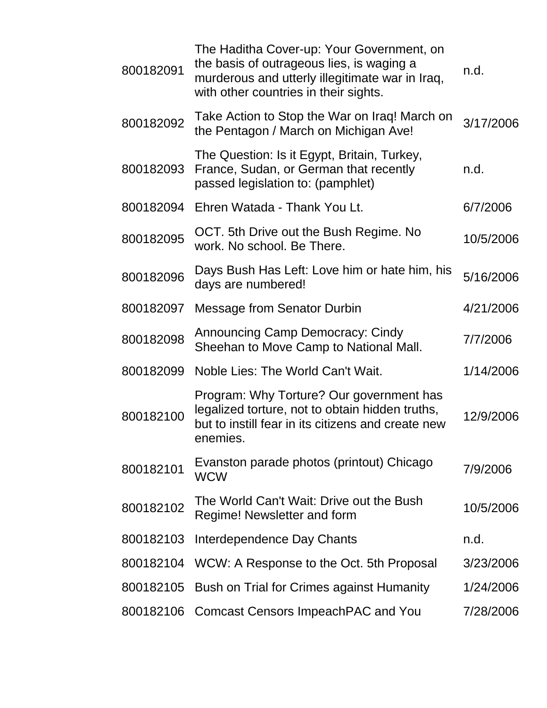| 800182091 | The Haditha Cover-up: Your Government, on<br>the basis of outrageous lies, is waging a<br>murderous and utterly illegitimate war in Iraq,<br>with other countries in their sights. | n.d.      |
|-----------|------------------------------------------------------------------------------------------------------------------------------------------------------------------------------------|-----------|
| 800182092 | Take Action to Stop the War on Iraq! March on<br>the Pentagon / March on Michigan Ave!                                                                                             | 3/17/2006 |
| 800182093 | The Question: Is it Egypt, Britain, Turkey,<br>France, Sudan, or German that recently<br>passed legislation to: (pamphlet)                                                         | n.d.      |
| 800182094 | Ehren Watada - Thank You Lt.                                                                                                                                                       | 6/7/2006  |
| 800182095 | OCT. 5th Drive out the Bush Regime. No<br>work. No school. Be There.                                                                                                               | 10/5/2006 |
| 800182096 | Days Bush Has Left: Love him or hate him, his<br>days are numbered!                                                                                                                | 5/16/2006 |
| 800182097 | <b>Message from Senator Durbin</b>                                                                                                                                                 | 4/21/2006 |
| 800182098 | <b>Announcing Camp Democracy: Cindy</b><br>Sheehan to Move Camp to National Mall.                                                                                                  | 7/7/2006  |
| 800182099 | Noble Lies: The World Can't Wait.                                                                                                                                                  | 1/14/2006 |
| 800182100 | Program: Why Torture? Our government has<br>legalized torture, not to obtain hidden truths,<br>but to instill fear in its citizens and create new<br>enemies.                      | 12/9/2006 |
| 800182101 | Evanston parade photos (printout) Chicago<br><b>WCW</b>                                                                                                                            | 7/9/2006  |
| 800182102 | The World Can't Wait: Drive out the Bush<br>Regime! Newsletter and form                                                                                                            | 10/5/2006 |
| 800182103 | Interdependence Day Chants                                                                                                                                                         | n.d.      |
| 800182104 | WCW: A Response to the Oct. 5th Proposal                                                                                                                                           | 3/23/2006 |
|           | 800182105 Bush on Trial for Crimes against Humanity                                                                                                                                | 1/24/2006 |
|           | 800182106 Comcast Censors Impeach PAC and You                                                                                                                                      | 7/28/2006 |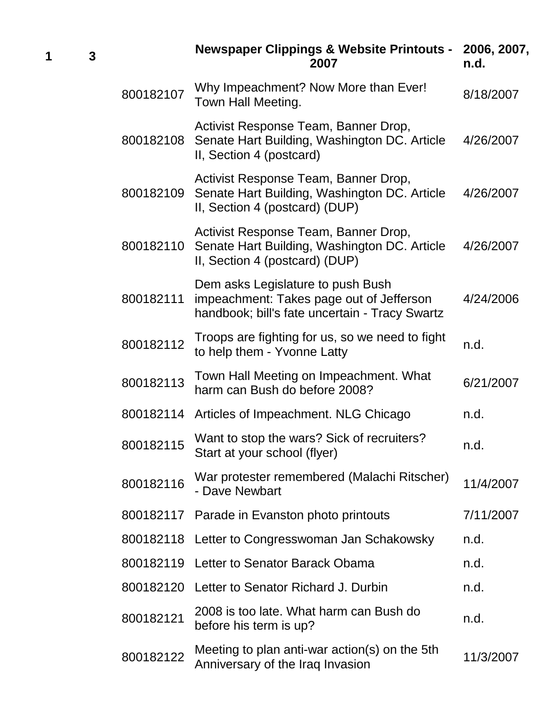|           | <b>Newspaper Clippings &amp; Website Printouts -</b><br>2007                                                                    | 2006, 2007,<br>n.d. |
|-----------|---------------------------------------------------------------------------------------------------------------------------------|---------------------|
| 800182107 | Why Impeachment? Now More than Ever!<br>Town Hall Meeting.                                                                      | 8/18/2007           |
| 800182108 | Activist Response Team, Banner Drop,<br>Senate Hart Building, Washington DC. Article<br>II, Section 4 (postcard)                | 4/26/2007           |
| 800182109 | Activist Response Team, Banner Drop,<br>Senate Hart Building, Washington DC. Article<br>II, Section 4 (postcard) (DUP)          | 4/26/2007           |
| 800182110 | Activist Response Team, Banner Drop,<br>Senate Hart Building, Washington DC. Article<br>II, Section 4 (postcard) (DUP)          | 4/26/2007           |
| 800182111 | Dem asks Legislature to push Bush<br>impeachment: Takes page out of Jefferson<br>handbook; bill's fate uncertain - Tracy Swartz | 4/24/2006           |
| 800182112 | Troops are fighting for us, so we need to fight<br>to help them - Yvonne Latty                                                  | n.d.                |
| 800182113 | Town Hall Meeting on Impeachment. What<br>harm can Bush do before 2008?                                                         | 6/21/2007           |
|           | 800182114 Articles of Impeachment. NLG Chicago                                                                                  | n.d.                |
| 800182115 | Want to stop the wars? Sick of recruiters?<br>Start at your school (flyer)                                                      | n.d.                |
| 800182116 | War protester remembered (Malachi Ritscher)<br>- Dave Newbart                                                                   | 11/4/2007           |
| 800182117 | Parade in Evanston photo printouts                                                                                              | 7/11/2007           |
| 800182118 | Letter to Congresswoman Jan Schakowsky                                                                                          | n.d.                |
| 800182119 | Letter to Senator Barack Obama                                                                                                  | n.d.                |
| 800182120 | Letter to Senator Richard J. Durbin                                                                                             | n.d.                |
| 800182121 | 2008 is too late. What harm can Bush do<br>before his term is up?                                                               | n.d.                |
| 800182122 | Meeting to plan anti-war action(s) on the 5th<br>Anniversary of the Iraq Invasion                                               | 11/3/2007           |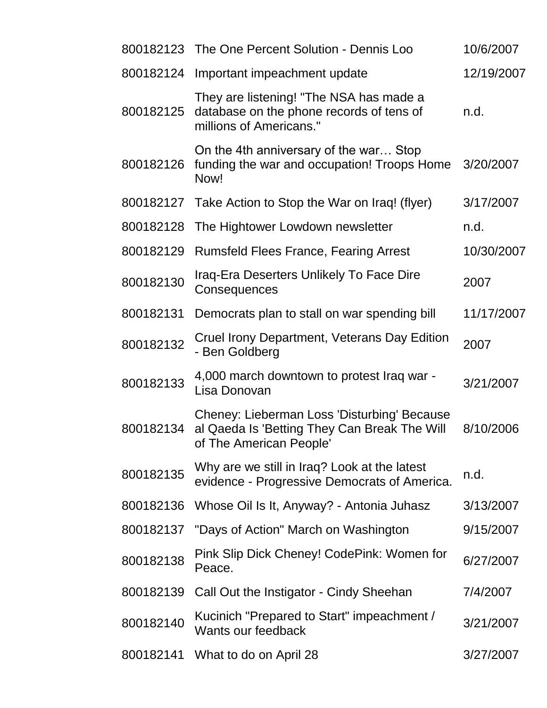|           | 800182123 The One Percent Solution - Dennis Loo                                                                        | 10/6/2007  |
|-----------|------------------------------------------------------------------------------------------------------------------------|------------|
| 800182124 | Important impeachment update                                                                                           | 12/19/2007 |
| 800182125 | They are listening! "The NSA has made a<br>database on the phone records of tens of<br>millions of Americans."         | n.d.       |
| 800182126 | On the 4th anniversary of the war Stop<br>funding the war and occupation! Troops Home<br>Now!                          | 3/20/2007  |
| 800182127 | Take Action to Stop the War on Iraq! (flyer)                                                                           | 3/17/2007  |
| 800182128 | The Hightower Lowdown newsletter                                                                                       | n.d.       |
| 800182129 | <b>Rumsfeld Flees France, Fearing Arrest</b>                                                                           | 10/30/2007 |
| 800182130 | Iraq-Era Deserters Unlikely To Face Dire<br>Consequences                                                               | 2007       |
| 800182131 | Democrats plan to stall on war spending bill                                                                           | 11/17/2007 |
| 800182132 | Cruel Irony Department, Veterans Day Edition<br>- Ben Goldberg                                                         | 2007       |
| 800182133 | 4,000 march downtown to protest Iraq war -<br>Lisa Donovan                                                             | 3/21/2007  |
| 800182134 | Cheney: Lieberman Loss 'Disturbing' Because<br>al Qaeda Is 'Betting They Can Break The Will<br>of The American People' | 8/10/2006  |
| 800182135 | Why are we still in Iraq? Look at the latest<br>evidence - Progressive Democrats of America.                           | n.d.       |
| 800182136 | Whose Oil Is It, Anyway? - Antonia Juhasz                                                                              | 3/13/2007  |
| 800182137 | "Days of Action" March on Washington                                                                                   | 9/15/2007  |
| 800182138 | Pink Slip Dick Cheney! CodePink: Women for<br>Peace.                                                                   | 6/27/2007  |
| 800182139 | Call Out the Instigator - Cindy Sheehan                                                                                | 7/4/2007   |
| 800182140 | Kucinich "Prepared to Start" impeachment /<br>Wants our feedback                                                       | 3/21/2007  |
| 800182141 | What to do on April 28                                                                                                 | 3/27/2007  |
|           |                                                                                                                        |            |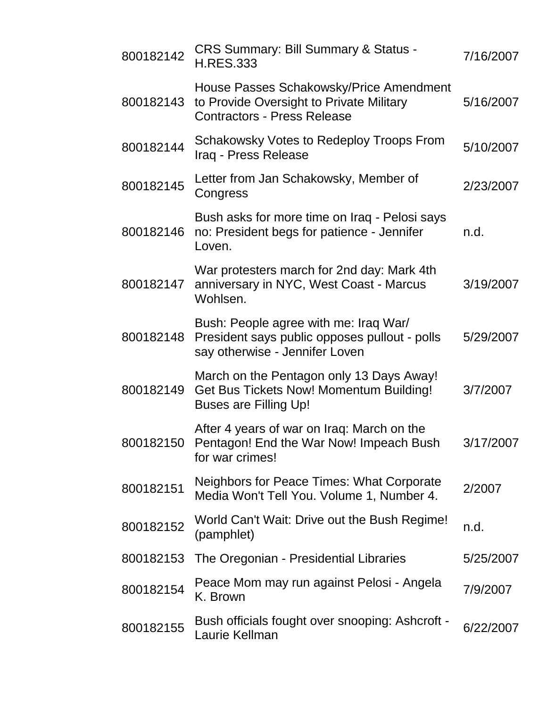| 800182142 | CRS Summary: Bill Summary & Status -<br><b>H.RES.333</b>                                                                   | 7/16/2007 |
|-----------|----------------------------------------------------------------------------------------------------------------------------|-----------|
| 800182143 | House Passes Schakowsky/Price Amendment<br>to Provide Oversight to Private Military<br><b>Contractors - Press Release</b>  | 5/16/2007 |
| 800182144 | Schakowsky Votes to Redeploy Troops From<br>Iraq - Press Release                                                           | 5/10/2007 |
| 800182145 | Letter from Jan Schakowsky, Member of<br>Congress                                                                          | 2/23/2007 |
| 800182146 | Bush asks for more time on Iraq - Pelosi says<br>no: President begs for patience - Jennifer<br>Loven.                      | n.d.      |
| 800182147 | War protesters march for 2nd day: Mark 4th<br>anniversary in NYC, West Coast - Marcus<br>Wohlsen.                          | 3/19/2007 |
| 800182148 | Bush: People agree with me: Iraq War/<br>President says public opposes pullout - polls<br>say otherwise - Jennifer Loven   | 5/29/2007 |
| 800182149 | March on the Pentagon only 13 Days Away!<br><b>Get Bus Tickets Now! Momentum Building!</b><br><b>Buses are Filling Up!</b> | 3/7/2007  |
|           | After 4 years of war on Iraq: March on the<br>800182150 Pentagon! End the War Now! Impeach Bush<br>for war crimes!         | 3/17/2007 |
| 800182151 | Neighbors for Peace Times: What Corporate<br>Media Won't Tell You. Volume 1, Number 4.                                     | 2/2007    |
| 800182152 | World Can't Wait: Drive out the Bush Regime!<br>(pamphlet)                                                                 | n.d.      |
| 800182153 | The Oregonian - Presidential Libraries                                                                                     | 5/25/2007 |
| 800182154 | Peace Mom may run against Pelosi - Angela<br>K. Brown                                                                      | 7/9/2007  |
| 800182155 | Bush officials fought over snooping: Ashcroft -<br>Laurie Kellman                                                          | 6/22/2007 |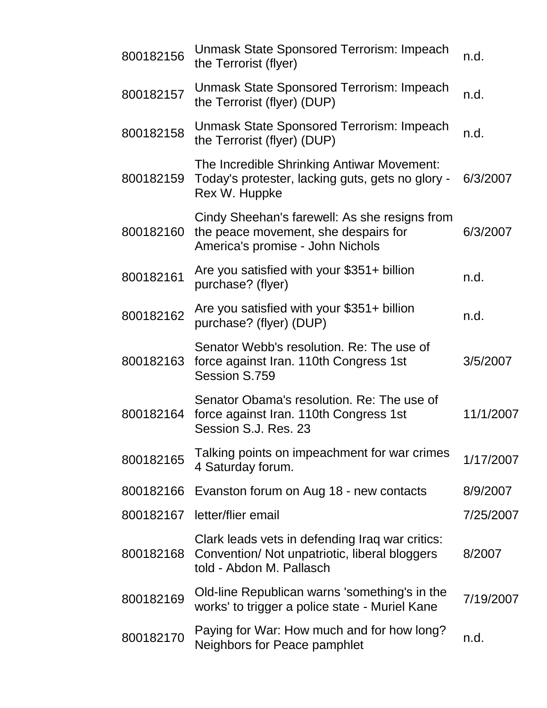| 800182156 | Unmask State Sponsored Terrorism: Impeach<br>the Terrorist (flyer)                                                           | n.d.      |
|-----------|------------------------------------------------------------------------------------------------------------------------------|-----------|
| 800182157 | Unmask State Sponsored Terrorism: Impeach<br>the Terrorist (flyer) (DUP)                                                     | n.d.      |
| 800182158 | Unmask State Sponsored Terrorism: Impeach<br>the Terrorist (flyer) (DUP)                                                     | n.d.      |
| 800182159 | The Incredible Shrinking Antiwar Movement:<br>Today's protester, lacking guts, gets no glory -<br>Rex W. Huppke              | 6/3/2007  |
| 800182160 | Cindy Sheehan's farewell: As she resigns from<br>the peace movement, she despairs for<br>America's promise - John Nichols    | 6/3/2007  |
| 800182161 | Are you satisfied with your \$351+ billion<br>purchase? (flyer)                                                              | n.d.      |
| 800182162 | Are you satisfied with your \$351+ billion<br>purchase? (flyer) (DUP)                                                        | n.d.      |
| 800182163 | Senator Webb's resolution. Re: The use of<br>force against Iran. 110th Congress 1st<br>Session S.759                         | 3/5/2007  |
| 800182164 | Senator Obama's resolution. Re: The use of<br>force against Iran. 110th Congress 1st<br>Session S.J. Res. 23                 | 11/1/2007 |
| 800182165 | Talking points on impeachment for war crimes<br>4 Saturday forum.                                                            | 1/17/2007 |
| 800182166 | Evanston forum on Aug 18 - new contacts                                                                                      | 8/9/2007  |
| 800182167 | letter/flier email                                                                                                           | 7/25/2007 |
| 800182168 | Clark leads vets in defending Iraq war critics:<br>Convention/ Not unpatriotic, liberal bloggers<br>told - Abdon M. Pallasch | 8/2007    |
| 800182169 | Old-line Republican warns 'something's in the<br>works' to trigger a police state - Muriel Kane                              | 7/19/2007 |
| 800182170 | Paying for War: How much and for how long?<br>Neighbors for Peace pamphlet                                                   | n.d.      |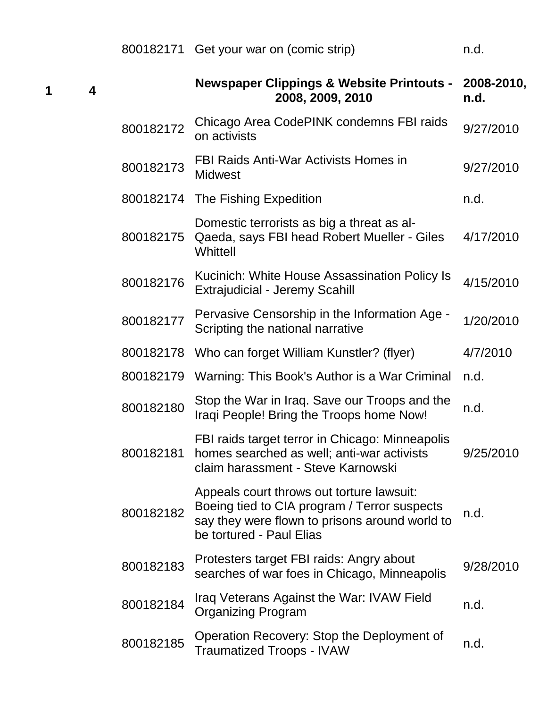| 800182171 Get your war on (comic strip) |  |
|-----------------------------------------|--|
|-----------------------------------------|--|

|           | <b>Newspaper Clippings &amp; Website Printouts -</b><br>2008, 2009, 2010                                                                                                | 2008-2010,<br>n.d. |
|-----------|-------------------------------------------------------------------------------------------------------------------------------------------------------------------------|--------------------|
| 800182172 | Chicago Area CodePINK condemns FBI raids<br>on activists                                                                                                                | 9/27/2010          |
| 800182173 | FBI Raids Anti-War Activists Homes in<br><b>Midwest</b>                                                                                                                 | 9/27/2010          |
|           | 800182174 The Fishing Expedition                                                                                                                                        | n.d.               |
| 800182175 | Domestic terrorists as big a threat as al-<br>Qaeda, says FBI head Robert Mueller - Giles<br>Whittell                                                                   | 4/17/2010          |
| 800182176 | Kucinich: White House Assassination Policy Is<br><b>Extrajudicial - Jeremy Scahill</b>                                                                                  | 4/15/2010          |
| 800182177 | Pervasive Censorship in the Information Age -<br>Scripting the national narrative                                                                                       | 1/20/2010          |
| 800182178 | Who can forget William Kunstler? (flyer)                                                                                                                                | 4/7/2010           |
| 800182179 | Warning: This Book's Author is a War Criminal                                                                                                                           | n.d.               |
| 800182180 | Stop the War in Iraq. Save our Troops and the<br>Iraqi People! Bring the Troops home Now!                                                                               | n.d.               |
| 800182181 | FBI raids target terror in Chicago: Minneapolis<br>homes searched as well; anti-war activists<br>claim harassment - Steve Karnowski                                     | 9/25/2010          |
| 800182182 | Appeals court throws out torture lawsuit:<br>Boeing tied to CIA program / Terror suspects<br>say they were flown to prisons around world to<br>be tortured - Paul Elias | n.d.               |
| 800182183 | Protesters target FBI raids: Angry about<br>searches of war foes in Chicago, Minneapolis                                                                                | 9/28/2010          |
| 800182184 | Iraq Veterans Against the War: IVAW Field<br><b>Organizing Program</b>                                                                                                  | n.d.               |
| 800182185 | Operation Recovery: Stop the Deployment of<br><b>Traumatized Troops - IVAW</b>                                                                                          | n.d.               |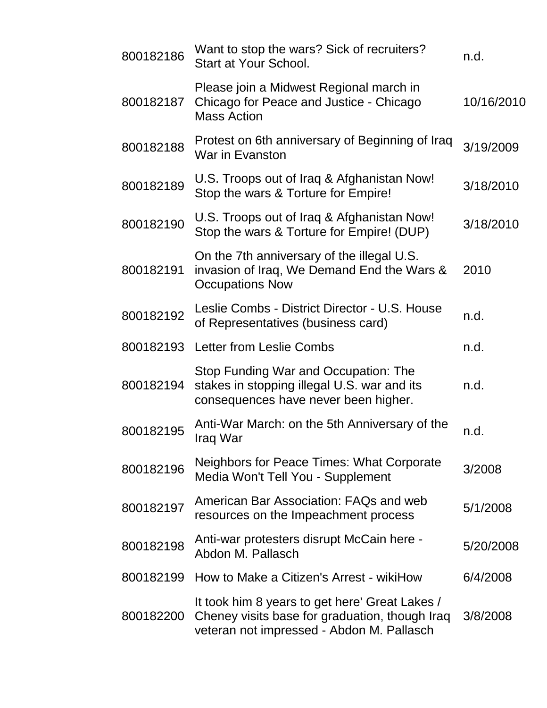| 800182186 | Want to stop the wars? Sick of recruiters?<br>Start at Your School.                                                                           | n.d.      |
|-----------|-----------------------------------------------------------------------------------------------------------------------------------------------|-----------|
| 800182187 | Please join a Midwest Regional march in<br>Chicago for Peace and Justice - Chicago<br><b>Mass Action</b>                                      |           |
| 800182188 | Protest on 6th anniversary of Beginning of Iraq<br>War in Evanston                                                                            | 3/19/2009 |
| 800182189 | U.S. Troops out of Iraq & Afghanistan Now!<br>Stop the wars & Torture for Empire!                                                             | 3/18/2010 |
| 800182190 | U.S. Troops out of Iraq & Afghanistan Now!<br>Stop the wars & Torture for Empire! (DUP)                                                       | 3/18/2010 |
| 800182191 | On the 7th anniversary of the illegal U.S.<br>invasion of Iraq, We Demand End the Wars &<br><b>Occupations Now</b>                            | 2010      |
| 800182192 | Leslie Combs - District Director - U.S. House<br>of Representatives (business card)                                                           | n.d.      |
| 800182193 | <b>Letter from Leslie Combs</b>                                                                                                               | n.d.      |
| 800182194 | Stop Funding War and Occupation: The<br>stakes in stopping illegal U.S. war and its<br>consequences have never been higher.                   | n.d.      |
| 800182195 | Anti-War March: on the 5th Anniversary of the<br>Iraq War                                                                                     | n.d.      |
| 800182196 | Neighbors for Peace Times: What Corporate<br>Media Won't Tell You - Supplement                                                                | 3/2008    |
| 800182197 | American Bar Association: FAQs and web<br>resources on the Impeachment process                                                                | 5/1/2008  |
| 800182198 | Anti-war protesters disrupt McCain here -<br>Abdon M. Pallasch                                                                                | 5/20/2008 |
| 800182199 | How to Make a Citizen's Arrest - wikiHow                                                                                                      | 6/4/2008  |
| 800182200 | It took him 8 years to get here' Great Lakes /<br>Cheney visits base for graduation, though Iraq<br>veteran not impressed - Abdon M. Pallasch | 3/8/2008  |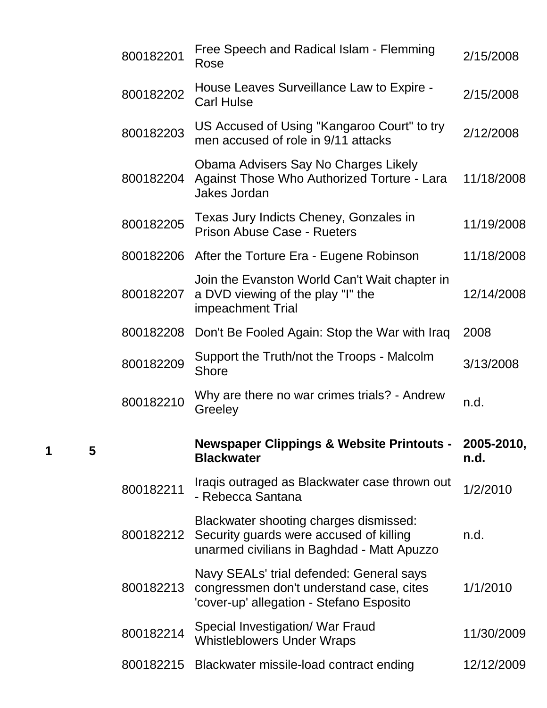| 800182201 | Free Speech and Radical Islam - Flemming<br>Rose                                                                                 | 2/15/2008          |
|-----------|----------------------------------------------------------------------------------------------------------------------------------|--------------------|
| 800182202 | House Leaves Surveillance Law to Expire -<br><b>Carl Hulse</b>                                                                   | 2/15/2008          |
| 800182203 | US Accused of Using "Kangaroo Court" to try<br>men accused of role in 9/11 attacks                                               | 2/12/2008          |
| 800182204 | Obama Advisers Say No Charges Likely<br>Against Those Who Authorized Torture - Lara<br><b>Jakes Jordan</b>                       | 11/18/2008         |
| 800182205 | Texas Jury Indicts Cheney, Gonzales in<br>Prison Abuse Case - Rueters                                                            | 11/19/2008         |
|           | 800182206 After the Torture Era - Eugene Robinson                                                                                | 11/18/2008         |
| 800182207 | Join the Evanston World Can't Wait chapter in<br>a DVD viewing of the play "I" the<br>impeachment Trial                          | 12/14/2008         |
| 800182208 | Don't Be Fooled Again: Stop the War with Iraq                                                                                    | 2008               |
| 800182209 | Support the Truth/not the Troops - Malcolm<br><b>Shore</b>                                                                       | 3/13/2008          |
|           |                                                                                                                                  |                    |
| 800182210 | Why are there no war crimes trials? - Andrew<br>Greeley                                                                          | n.d.               |
|           | <b>Newspaper Clippings &amp; Website Printouts -</b><br><b>Blackwater</b>                                                        | 2005-2010,<br>n.d. |
| 800182211 | Iraqis outraged as Blackwater case thrown out<br>- Rebecca Santana                                                               | 1/2/2010           |
| 800182212 | Blackwater shooting charges dismissed:<br>Security guards were accused of killing<br>unarmed civilians in Baghdad - Matt Apuzzo  | n.d.               |
| 800182213 | Navy SEALs' trial defended: General says<br>congressmen don't understand case, cites<br>'cover-up' allegation - Stefano Esposito | 1/1/2010           |
| 800182214 | Special Investigation/ War Fraud<br><b>Whistleblowers Under Wraps</b>                                                            | 11/30/2009         |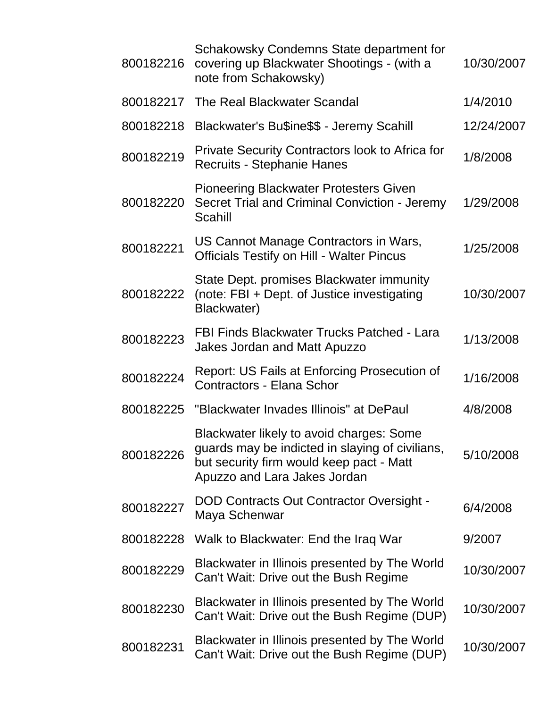| 800182216 | Schakowsky Condemns State department for<br>covering up Blackwater Shootings - (with a<br>note from Schakowsky)                                                         | 10/30/2007 |
|-----------|-------------------------------------------------------------------------------------------------------------------------------------------------------------------------|------------|
|           | 800182217 The Real Blackwater Scandal                                                                                                                                   | 1/4/2010   |
| 800182218 | Blackwater's Bu\$ine\$\$ - Jeremy Scahill                                                                                                                               | 12/24/2007 |
| 800182219 | <b>Private Security Contractors look to Africa for</b><br>Recruits - Stephanie Hanes                                                                                    | 1/8/2008   |
| 800182220 | <b>Pioneering Blackwater Protesters Given</b><br>Secret Trial and Criminal Conviction - Jeremy<br>Scahill                                                               | 1/29/2008  |
| 800182221 | US Cannot Manage Contractors in Wars,<br><b>Officials Testify on Hill - Walter Pincus</b>                                                                               | 1/25/2008  |
| 800182222 | State Dept. promises Blackwater immunity<br>(note: FBI + Dept. of Justice investigating<br>Blackwater)                                                                  | 10/30/2007 |
| 800182223 | <b>FBI Finds Blackwater Trucks Patched - Lara</b><br><b>Jakes Jordan and Matt Apuzzo</b>                                                                                | 1/13/2008  |
| 800182224 | <b>Report: US Fails at Enforcing Prosecution of</b><br>Contractors - Elana Schor                                                                                        | 1/16/2008  |
| 800182225 | "Blackwater Invades Illinois" at DePaul                                                                                                                                 | 4/8/2008   |
| 800182226 | Blackwater likely to avoid charges: Some<br>guards may be indicted in slaying of civilians,<br>but security firm would keep pact - Matt<br>Apuzzo and Lara Jakes Jordan | 5/10/2008  |
| 800182227 | <b>DOD Contracts Out Contractor Oversight -</b><br>Maya Schenwar                                                                                                        | 6/4/2008   |
| 800182228 | Walk to Blackwater: End the Iraq War                                                                                                                                    | 9/2007     |
| 800182229 | Blackwater in Illinois presented by The World<br>Can't Wait: Drive out the Bush Regime                                                                                  | 10/30/2007 |
| 800182230 | Blackwater in Illinois presented by The World<br>Can't Wait: Drive out the Bush Regime (DUP)                                                                            | 10/30/2007 |
| 800182231 | Blackwater in Illinois presented by The World<br>Can't Wait: Drive out the Bush Regime (DUP)                                                                            | 10/30/2007 |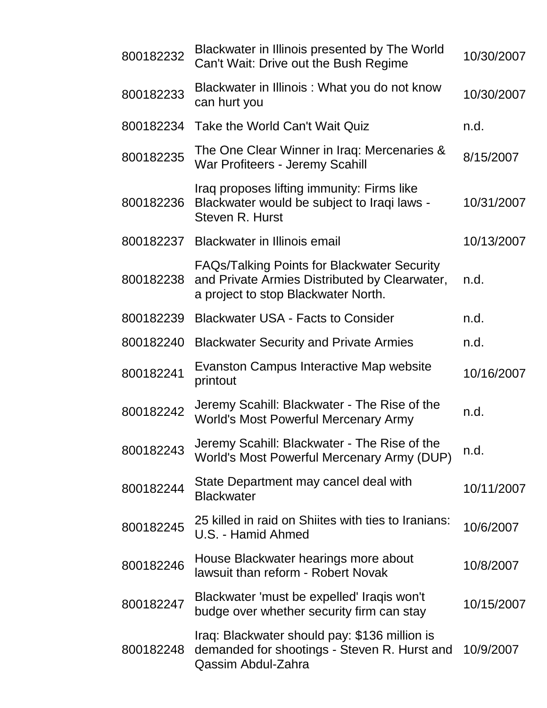| 800182232 | Blackwater in Illinois presented by The World<br>Can't Wait: Drive out the Bush Regime                                                     | 10/30/2007 |
|-----------|--------------------------------------------------------------------------------------------------------------------------------------------|------------|
| 800182233 | Blackwater in Illinois: What you do not know<br>can hurt you                                                                               | 10/30/2007 |
| 800182234 | Take the World Can't Wait Quiz                                                                                                             | n.d.       |
| 800182235 | The One Clear Winner in Iraq: Mercenaries &<br>War Profiteers - Jeremy Scahill                                                             | 8/15/2007  |
| 800182236 | Iraq proposes lifting immunity: Firms like<br>Blackwater would be subject to Iraqi laws -<br>Steven R. Hurst                               | 10/31/2007 |
| 800182237 | <b>Blackwater in Illinois email</b>                                                                                                        | 10/13/2007 |
| 800182238 | <b>FAQs/Talking Points for Blackwater Security</b><br>and Private Armies Distributed by Clearwater,<br>a project to stop Blackwater North. | n.d.       |
| 800182239 | <b>Blackwater USA - Facts to Consider</b>                                                                                                  | n.d.       |
| 800182240 | <b>Blackwater Security and Private Armies</b>                                                                                              | n.d.       |
| 800182241 | Evanston Campus Interactive Map website<br>printout                                                                                        | 10/16/2007 |
| 800182242 | Jeremy Scahill: Blackwater - The Rise of the<br><b>World's Most Powerful Mercenary Army</b>                                                | n.d.       |
| 800182243 | Jeremy Scahill: Blackwater - The Rise of the<br>World's Most Powerful Mercenary Army (DUP)                                                 | n.d.       |
| 800182244 | State Department may cancel deal with<br><b>Blackwater</b>                                                                                 | 10/11/2007 |
| 800182245 | 25 killed in raid on Shiites with ties to Iranians:<br>U.S. - Hamid Ahmed                                                                  | 10/6/2007  |
| 800182246 | House Blackwater hearings more about<br>lawsuit than reform - Robert Novak                                                                 | 10/8/2007  |
| 800182247 | Blackwater 'must be expelled' Iraqis won't<br>budge over whether security firm can stay                                                    | 10/15/2007 |
| 800182248 | Iraq: Blackwater should pay: \$136 million is<br>demanded for shootings - Steven R. Hurst and<br>Qassim Abdul-Zahra                        | 10/9/2007  |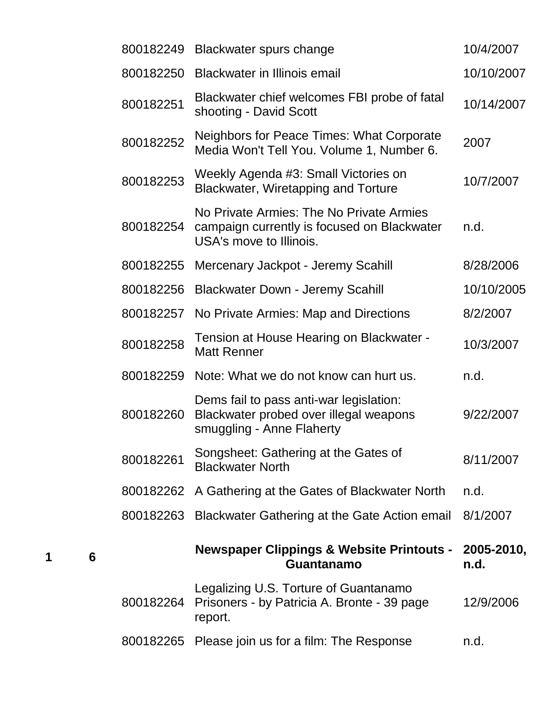| 800182249 | Blackwater spurs change                                                                                            | 10/4/2007          |
|-----------|--------------------------------------------------------------------------------------------------------------------|--------------------|
| 800182250 | <b>Blackwater in Illinois email</b>                                                                                | 10/10/2007         |
| 800182251 | Blackwater chief welcomes FBI probe of fatal<br>shooting - David Scott                                             | 10/14/2007         |
| 800182252 | Neighbors for Peace Times: What Corporate<br>Media Won't Tell You. Volume 1, Number 6.                             | 2007               |
| 800182253 | Weekly Agenda #3: Small Victories on<br>Blackwater, Wiretapping and Torture                                        | 10/7/2007          |
| 800182254 | No Private Armies: The No Private Armies<br>campaign currently is focused on Blackwater<br>USA's move to Illinois. | n.d.               |
| 800182255 | Mercenary Jackpot - Jeremy Scahill                                                                                 | 8/28/2006          |
| 800182256 | <b>Blackwater Down - Jeremy Scahill</b>                                                                            | 10/10/2005         |
| 800182257 | No Private Armies: Map and Directions                                                                              | 8/2/2007           |
| 800182258 | Tension at House Hearing on Blackwater -<br><b>Matt Renner</b>                                                     | 10/3/2007          |
| 800182259 | Note: What we do not know can hurt us.                                                                             | n.d.               |
| 800182260 | Dems fail to pass anti-war legislation:<br>Blackwater probed over illegal weapons<br>smuggling - Anne Flaherty     | 9/22/2007          |
| 800182261 | Songsheet: Gathering at the Gates of<br><b>Blackwater North</b>                                                    | 8/11/2007          |
| 800182262 | A Gathering at the Gates of Blackwater North                                                                       | n.d.               |
| 800182263 | Blackwater Gathering at the Gate Action email                                                                      | 8/1/2007           |
|           | <b>Newspaper Clippings &amp; Website Printouts -</b><br>Guantanamo                                                 | 2005-2010,<br>n.d. |
| 800182264 | Legalizing U.S. Torture of Guantanamo<br>Prisoners - by Patricia A. Bronte - 39 page<br>report.                    | 12/9/2006          |
| 800182265 | Please join us for a film: The Response                                                                            | n.d.               |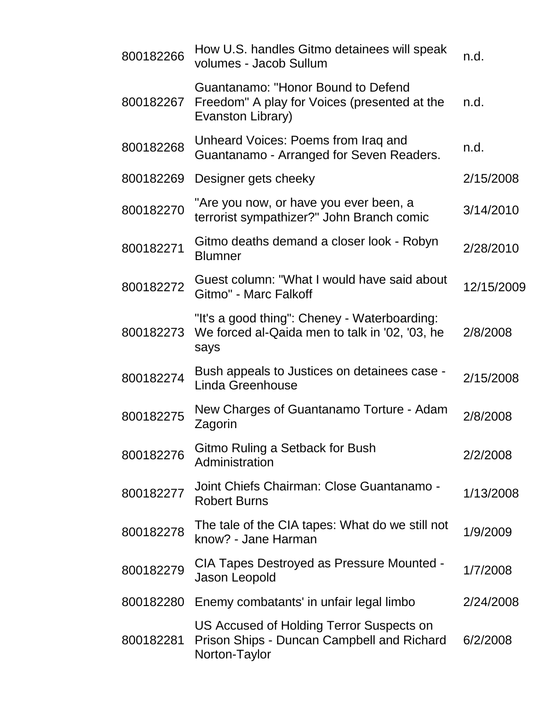| 800182266 | How U.S. handles Gitmo detainees will speak<br>volumes - Jacob Sullum                                   | n.d.       |
|-----------|---------------------------------------------------------------------------------------------------------|------------|
| 800182267 | Guantanamo: "Honor Bound to Defend<br>Freedom" A play for Voices (presented at the<br>Evanston Library) | n.d.       |
| 800182268 | Unheard Voices: Poems from Iraq and<br>Guantanamo - Arranged for Seven Readers.                         | n.d.       |
| 800182269 | Designer gets cheeky                                                                                    | 2/15/2008  |
| 800182270 | "Are you now, or have you ever been, a<br>terrorist sympathizer?" John Branch comic                     | 3/14/2010  |
| 800182271 | Gitmo deaths demand a closer look - Robyn<br><b>Blumner</b>                                             | 2/28/2010  |
| 800182272 | Guest column: "What I would have said about<br>Gitmo" - Marc Falkoff                                    | 12/15/2009 |
| 800182273 | "It's a good thing": Cheney - Waterboarding:<br>We forced al-Qaida men to talk in '02, '03, he<br>says  | 2/8/2008   |
| 800182274 | Bush appeals to Justices on detainees case -<br>Linda Greenhouse                                        | 2/15/2008  |
| 800182275 | New Charges of Guantanamo Torture - Adam<br>Zagorin                                                     | 2/8/2008   |
| 800182276 | Gitmo Ruling a Setback for Bush<br>Administration                                                       | 2/2/2008   |
| 800182277 | Joint Chiefs Chairman: Close Guantanamo -<br><b>Robert Burns</b>                                        | 1/13/2008  |
| 800182278 | The tale of the CIA tapes: What do we still not<br>know? - Jane Harman                                  | 1/9/2009   |
| 800182279 | CIA Tapes Destroyed as Pressure Mounted -<br>Jason Leopold                                              | 1/7/2008   |
| 800182280 | Enemy combatants' in unfair legal limbo                                                                 | 2/24/2008  |
| 800182281 | US Accused of Holding Terror Suspects on<br>Prison Ships - Duncan Campbell and Richard<br>Norton-Taylor | 6/2/2008   |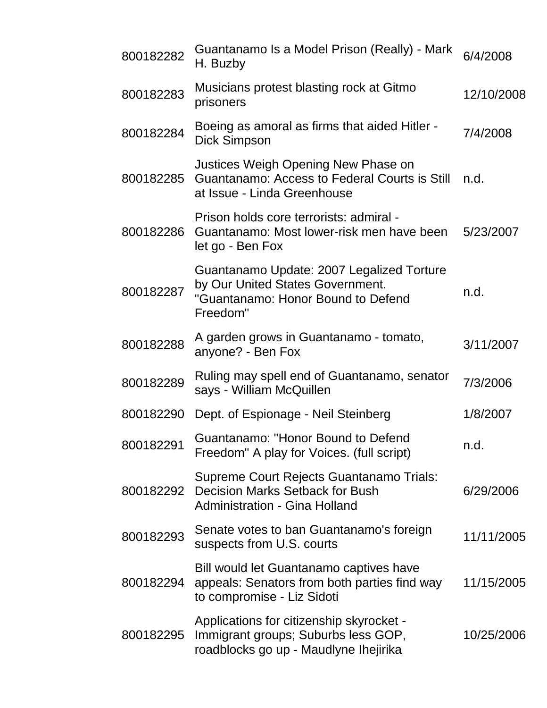| 800182282 | Guantanamo Is a Model Prison (Really) - Mark<br>H. Buzby                                                                        | 6/4/2008   |
|-----------|---------------------------------------------------------------------------------------------------------------------------------|------------|
| 800182283 | Musicians protest blasting rock at Gitmo<br>prisoners                                                                           | 12/10/2008 |
| 800182284 | Boeing as amoral as firms that aided Hitler -<br><b>Dick Simpson</b>                                                            | 7/4/2008   |
| 800182285 | Justices Weigh Opening New Phase on<br>Guantanamo: Access to Federal Courts is Still<br>at Issue - Linda Greenhouse             | n.d.       |
| 800182286 | Prison holds core terrorists: admiral -<br>Guantanamo: Most lower-risk men have been<br>let go - Ben Fox                        | 5/23/2007  |
| 800182287 | Guantanamo Update: 2007 Legalized Torture<br>by Our United States Government.<br>"Guantanamo: Honor Bound to Defend<br>Freedom" | n.d.       |
| 800182288 | A garden grows in Guantanamo - tomato,<br>anyone? - Ben Fox                                                                     | 3/11/2007  |
| 800182289 | Ruling may spell end of Guantanamo, senator<br>says - William McQuillen                                                         | 7/3/2006   |
| 800182290 | Dept. of Espionage - Neil Steinberg                                                                                             | 1/8/2007   |
| 800182291 | Guantanamo: "Honor Bound to Defend<br>Freedom" A play for Voices. (full script)                                                 | n.d.       |
| 800182292 | Supreme Court Rejects Guantanamo Trials:<br><b>Decision Marks Setback for Bush</b><br><b>Administration - Gina Holland</b>      | 6/29/2006  |
| 800182293 | Senate votes to ban Guantanamo's foreign<br>suspects from U.S. courts                                                           | 11/11/2005 |
| 800182294 | Bill would let Guantanamo captives have<br>appeals: Senators from both parties find way<br>to compromise - Liz Sidoti           | 11/15/2005 |
| 800182295 | Applications for citizenship skyrocket -<br>Immigrant groups; Suburbs less GOP,<br>roadblocks go up - Maudlyne Ihejirika        | 10/25/2006 |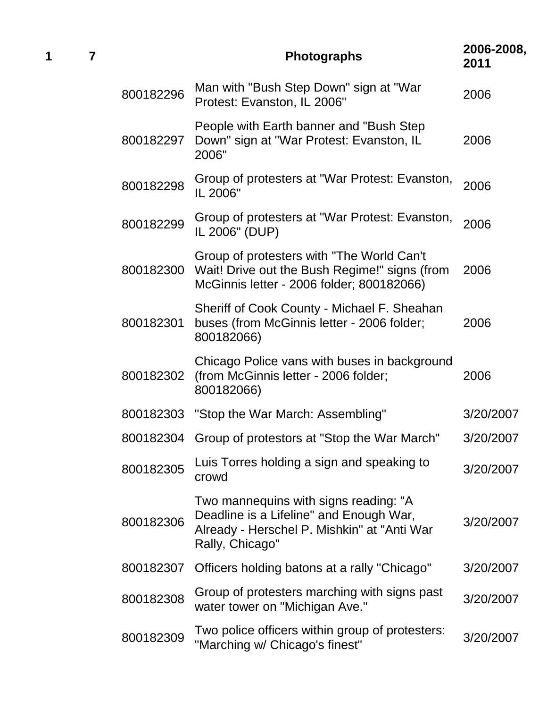| 1 | 7 |           | <b>Photographs</b>                                                                                                                                 | 2006-2008,<br>2011 |
|---|---|-----------|----------------------------------------------------------------------------------------------------------------------------------------------------|--------------------|
|   |   | 800182296 | Man with "Bush Step Down" sign at "War<br>Protest: Evanston, IL 2006"                                                                              | 2006               |
|   |   | 800182297 | People with Earth banner and "Bush Step<br>Down" sign at "War Protest: Evanston, IL<br>2006"                                                       | 2006               |
|   |   | 800182298 | Group of protesters at "War Protest: Evanston,<br>IL 2006"                                                                                         | 2006               |
|   |   | 800182299 | Group of protesters at "War Protest: Evanston,<br>IL 2006" (DUP)                                                                                   | 2006               |
|   |   | 800182300 | Group of protesters with "The World Can't<br>Wait! Drive out the Bush Regime!" signs (from<br>McGinnis letter - 2006 folder; 800182066)            | 2006               |
|   |   | 800182301 | Sheriff of Cook County - Michael F. Sheahan<br>buses (from McGinnis letter - 2006 folder;<br>800182066)                                            | 2006               |
|   |   | 800182302 | Chicago Police vans with buses in background<br>(from McGinnis letter - 2006 folder;<br>800182066)                                                 | 2006               |
|   |   |           | 800182303 "Stop the War March: Assembling"                                                                                                         | 3/20/2007          |
|   |   | 800182304 | Group of protestors at "Stop the War March"                                                                                                        | 3/20/2007          |
|   |   | 800182305 | Luis Torres holding a sign and speaking to<br>crowd                                                                                                | 3/20/2007          |
|   |   | 800182306 | Two mannequins with signs reading: "A<br>Deadline is a Lifeline" and Enough War,<br>Already - Herschel P. Mishkin" at "Anti War<br>Rally, Chicago" | 3/20/2007          |
|   |   | 800182307 | Officers holding batons at a rally "Chicago"                                                                                                       | 3/20/2007          |
|   |   | 800182308 | Group of protesters marching with signs past<br>water tower on "Michigan Ave."                                                                     | 3/20/2007          |
|   |   | 800182309 | Two police officers within group of protesters:<br>"Marching w/ Chicago's finest"                                                                  | 3/20/2007          |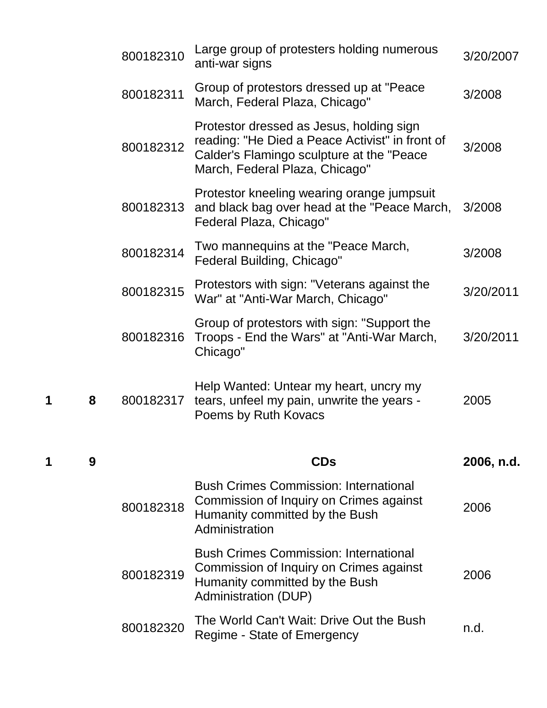|   |   | 800182310 | Large group of protesters holding numerous<br>anti-war signs                                                                                                                | 3/20/2007  |
|---|---|-----------|-----------------------------------------------------------------------------------------------------------------------------------------------------------------------------|------------|
|   |   | 800182311 | Group of protestors dressed up at "Peace"<br>March, Federal Plaza, Chicago"                                                                                                 | 3/2008     |
|   |   | 800182312 | Protestor dressed as Jesus, holding sign<br>reading: "He Died a Peace Activist" in front of<br>Calder's Flamingo sculpture at the "Peace"<br>March, Federal Plaza, Chicago" | 3/2008     |
|   |   | 800182313 | Protestor kneeling wearing orange jumpsuit<br>and black bag over head at the "Peace March,<br>Federal Plaza, Chicago"                                                       | 3/2008     |
|   |   | 800182314 | Two mannequins at the "Peace March,<br>Federal Building, Chicago"                                                                                                           | 3/2008     |
|   |   | 800182315 | Protestors with sign: "Veterans against the<br>War" at "Anti-War March, Chicago"                                                                                            | 3/20/2011  |
|   |   | 800182316 | Group of protestors with sign: "Support the<br>Troops - End the Wars" at "Anti-War March,<br>Chicago"                                                                       | 3/20/2011  |
| 1 | 8 | 800182317 | Help Wanted: Untear my heart, uncry my<br>tears, unfeel my pain, unwrite the years -<br>Poems by Ruth Kovacs                                                                | 2005       |
| 1 | 9 |           | <b>CDs</b>                                                                                                                                                                  | 2006, n.d. |
|   |   | 800182318 | <b>Bush Crimes Commission: International</b><br>Commission of Inquiry on Crimes against<br>Humanity committed by the Bush<br>Administration                                 | 2006       |
|   |   | 800182319 | <b>Bush Crimes Commission: International</b><br>Commission of Inquiry on Crimes against<br>Humanity committed by the Bush<br>Administration (DUP)                           | 2006       |
|   |   | 800182320 | The World Can't Wait: Drive Out the Bush<br>Regime - State of Emergency                                                                                                     | n.d.       |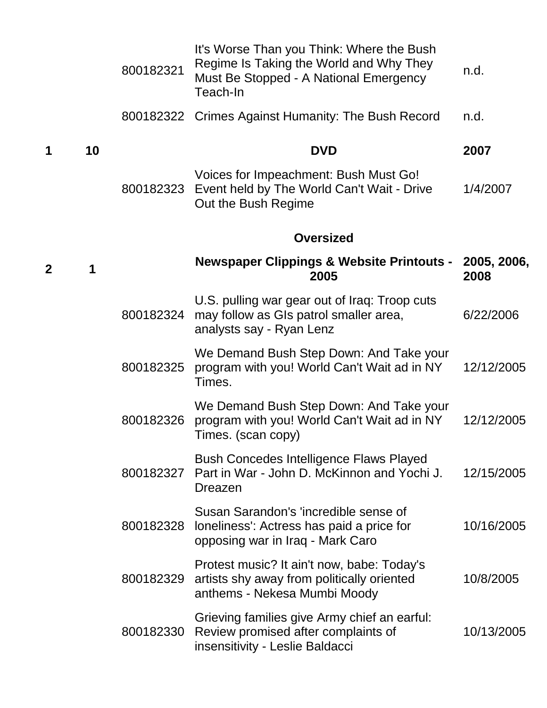|              |    | 800182321 | It's Worse Than you Think: Where the Bush<br>Regime Is Taking the World and Why They<br>Must Be Stopped - A National Emergency<br>Teach-In | n.d.                |
|--------------|----|-----------|--------------------------------------------------------------------------------------------------------------------------------------------|---------------------|
|              |    |           | 800182322 Crimes Against Humanity: The Bush Record                                                                                         | n.d.                |
| 1            | 10 |           | <b>DVD</b>                                                                                                                                 | 2007                |
|              |    | 800182323 | Voices for Impeachment: Bush Must Go!<br>Event held by The World Can't Wait - Drive<br>Out the Bush Regime                                 | 1/4/2007            |
|              |    |           | <b>Oversized</b>                                                                                                                           |                     |
| $\mathbf{2}$ | 1  |           | <b>Newspaper Clippings &amp; Website Printouts -</b><br>2005                                                                               | 2005, 2006,<br>2008 |
|              |    | 800182324 | U.S. pulling war gear out of Iraq: Troop cuts<br>may follow as GIs patrol smaller area,<br>analysts say - Ryan Lenz                        | 6/22/2006           |
|              |    | 800182325 | We Demand Bush Step Down: And Take your<br>program with you! World Can't Wait ad in NY<br>Times.                                           | 12/12/2005          |
|              |    | 800182326 | We Demand Bush Step Down: And Take your<br>program with you! World Can't Wait ad in NY<br>Times. (scan copy)                               | 12/12/2005          |
|              |    | 800182327 | <b>Bush Concedes Intelligence Flaws Played</b><br>Part in War - John D. McKinnon and Yochi J.<br>Dreazen                                   | 12/15/2005          |
|              |    |           | Susan Sarandon's 'incredible sense of<br>800182328 loneliness': Actress has paid a price for<br>opposing war in Iraq - Mark Caro           | 10/16/2005          |
|              |    | 800182329 | Protest music? It ain't now, babe: Today's<br>artists shy away from politically oriented<br>anthems - Nekesa Mumbi Moody                   | 10/8/2005           |
|              |    | 800182330 | Grieving families give Army chief an earful:<br>Review promised after complaints of<br>insensitivity - Leslie Baldacci                     | 10/13/2005          |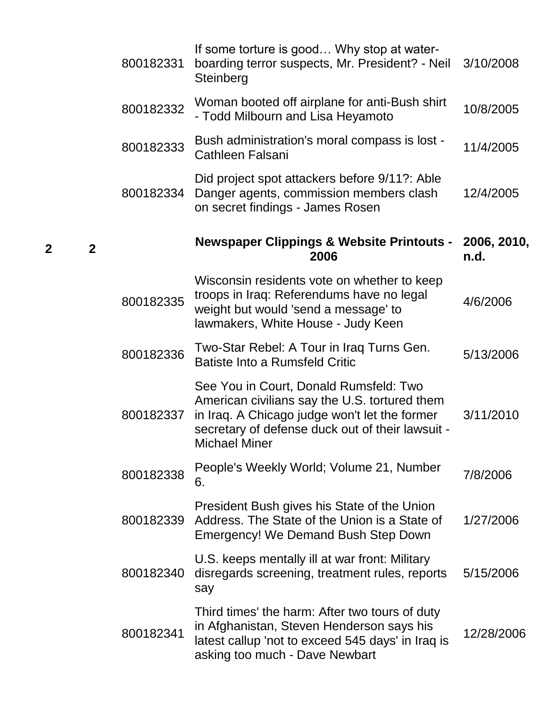| 800182331 | If some torture is good Why stop at water-<br>boarding terror suspects, Mr. President? - Neil<br>Steinberg                                                                                                           | 3/10/2008           |
|-----------|----------------------------------------------------------------------------------------------------------------------------------------------------------------------------------------------------------------------|---------------------|
| 800182332 | Woman booted off airplane for anti-Bush shirt<br>- Todd Milbourn and Lisa Heyamoto                                                                                                                                   | 10/8/2005           |
| 800182333 | Bush administration's moral compass is lost -<br><b>Cathleen Falsani</b>                                                                                                                                             | 11/4/2005           |
| 800182334 | Did project spot attackers before 9/11?: Able<br>Danger agents, commission members clash<br>on secret findings - James Rosen                                                                                         | 12/4/2005           |
|           | <b>Newspaper Clippings &amp; Website Printouts -</b><br>2006                                                                                                                                                         | 2006, 2010,<br>n.d. |
| 800182335 | Wisconsin residents vote on whether to keep<br>troops in Iraq: Referendums have no legal<br>weight but would 'send a message' to<br>lawmakers, White House - Judy Keen                                               | 4/6/2006            |
| 800182336 | Two-Star Rebel: A Tour in Iraq Turns Gen.<br><b>Batiste Into a Rumsfeld Critic</b>                                                                                                                                   | 5/13/2006           |
| 800182337 | See You in Court, Donald Rumsfeld: Two<br>American civilians say the U.S. tortured them<br>in Iraq. A Chicago judge won't let the former<br>secretary of defense duck out of their lawsuit -<br><b>Michael Miner</b> | 3/11/2010           |
| 800182338 | People's Weekly World; Volume 21, Number<br>6.                                                                                                                                                                       | 7/8/2006            |
| 800182339 | President Bush gives his State of the Union<br>Address. The State of the Union is a State of<br><b>Emergency! We Demand Bush Step Down</b>                                                                           | 1/27/2006           |
| 800182340 | U.S. keeps mentally ill at war front: Military<br>disregards screening, treatment rules, reports<br>say                                                                                                              | 5/15/2006           |
| 800182341 | Third times' the harm: After two tours of duty<br>in Afghanistan, Steven Henderson says his<br>latest callup 'not to exceed 545 days' in Iraq is<br>asking too much - Dave Newbart                                   | 12/28/2006          |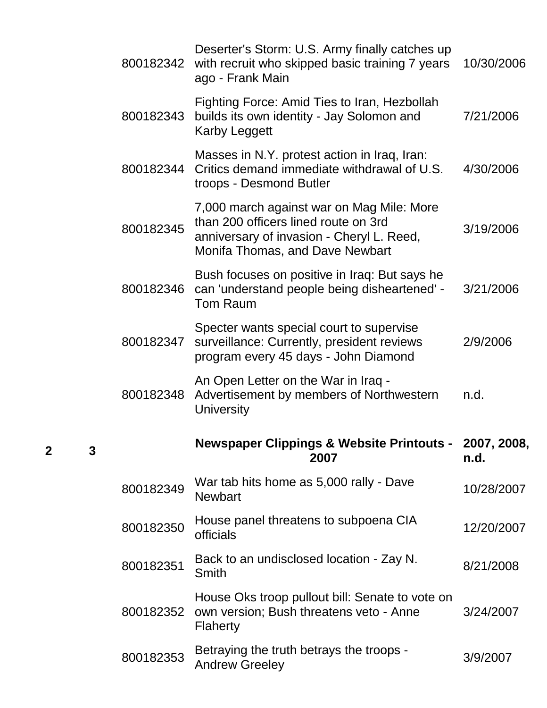| 800182342 | Deserter's Storm: U.S. Army finally catches up<br>with recruit who skipped basic training 7 years<br>ago - Frank Main                                             | 10/30/2006          |
|-----------|-------------------------------------------------------------------------------------------------------------------------------------------------------------------|---------------------|
| 800182343 | Fighting Force: Amid Ties to Iran, Hezbollah<br>builds its own identity - Jay Solomon and<br><b>Karby Leggett</b>                                                 | 7/21/2006           |
| 800182344 | Masses in N.Y. protest action in Iraq, Iran:<br>Critics demand immediate withdrawal of U.S.<br>troops - Desmond Butler                                            | 4/30/2006           |
| 800182345 | 7,000 march against war on Mag Mile: More<br>than 200 officers lined route on 3rd<br>anniversary of invasion - Cheryl L. Reed,<br>Monifa Thomas, and Dave Newbart | 3/19/2006           |
| 800182346 | Bush focuses on positive in Iraq: But says he<br>can 'understand people being disheartened' -<br><b>Tom Raum</b>                                                  | 3/21/2006           |
| 800182347 | Specter wants special court to supervise<br>surveillance: Currently, president reviews<br>program every 45 days - John Diamond                                    | 2/9/2006            |
|           | An Open Letter on the War in Iraq -                                                                                                                               |                     |
| 800182348 | Advertisement by members of Northwestern<br><b>University</b>                                                                                                     | n.d.                |
|           | <b>Newspaper Clippings &amp; Website Printouts -</b><br>2007                                                                                                      | 2007, 2008,<br>n.d. |
| 800182349 | War tab hits home as 5,000 rally - Dave<br><b>Newbart</b>                                                                                                         | 10/28/2007          |
| 800182350 | House panel threatens to subpoena CIA<br>officials                                                                                                                | 12/20/2007          |
| 800182351 | Back to an undisclosed location - Zay N.<br>Smith                                                                                                                 | 8/21/2008           |
| 800182352 | House Oks troop pullout bill: Senate to vote on<br>own version; Bush threatens veto - Anne<br>Flaherty                                                            | 3/24/2007           |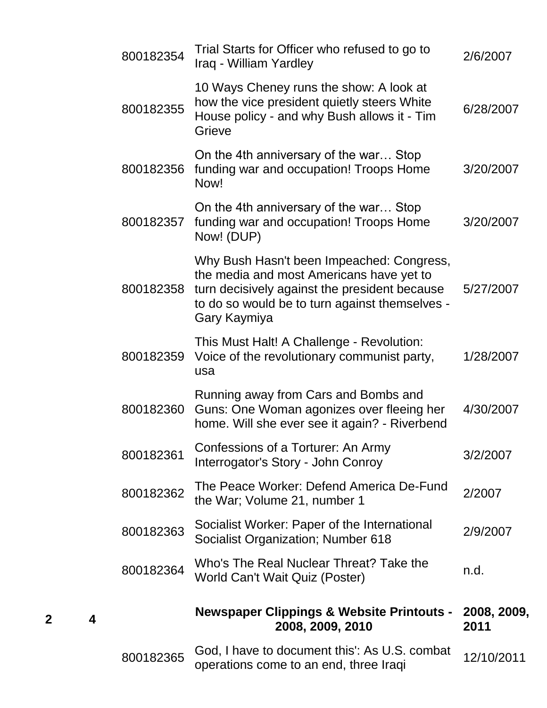| 2/6/2007            |
|---------------------|
| 6/28/2007           |
| 3/20/2007           |
| 3/20/2007           |
| 5/27/2007           |
| 1/28/2007           |
| 4/30/2007           |
| 3/2/2007            |
| 2/2007              |
|                     |
| 2/9/2007            |
| n.d.                |
| 2008, 2009,<br>2011 |
|                     |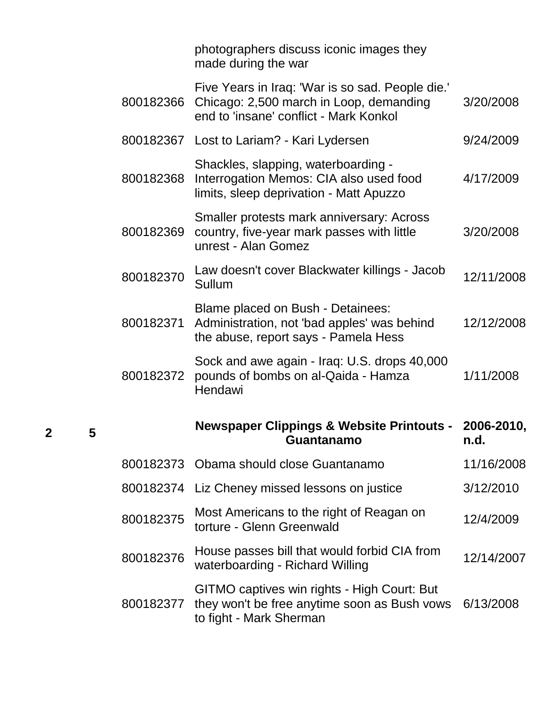|           | photographers discuss iconic images they<br>made during the war                                                                       |                    |
|-----------|---------------------------------------------------------------------------------------------------------------------------------------|--------------------|
| 800182366 | Five Years in Iraq: 'War is so sad. People die.'<br>Chicago: 2,500 march in Loop, demanding<br>end to 'insane' conflict - Mark Konkol | 3/20/2008          |
|           | 800182367 Lost to Lariam? - Kari Lydersen                                                                                             | 9/24/2009          |
| 800182368 | Shackles, slapping, waterboarding -<br>Interrogation Memos: CIA also used food<br>limits, sleep deprivation - Matt Apuzzo             | 4/17/2009          |
| 800182369 | Smaller protests mark anniversary: Across<br>country, five-year mark passes with little<br>unrest - Alan Gomez                        | 3/20/2008          |
| 800182370 | Law doesn't cover Blackwater killings - Jacob<br>Sullum                                                                               | 12/11/2008         |
| 800182371 | Blame placed on Bush - Detainees:<br>Administration, not 'bad apples' was behind<br>the abuse, report says - Pamela Hess              | 12/12/2008         |
| 800182372 | Sock and awe again - Iraq: U.S. drops 40,000<br>pounds of bombs on al-Qaida - Hamza<br>Hendawi                                        | 1/11/2008          |
|           | <b>Newspaper Clippings &amp; Website Printouts -</b><br>Guantanamo                                                                    | 2006-2010,<br>n.d. |
| 800182373 | Obama should close Guantanamo                                                                                                         | 11/16/2008         |
| 800182374 | Liz Cheney missed lessons on justice                                                                                                  | 3/12/2010          |
| 800182375 | Most Americans to the right of Reagan on<br>torture - Glenn Greenwald                                                                 | 12/4/2009          |
| 800182376 | House passes bill that would forbid CIA from                                                                                          | 12/14/2007         |
|           | waterboarding - Richard Willing                                                                                                       |                    |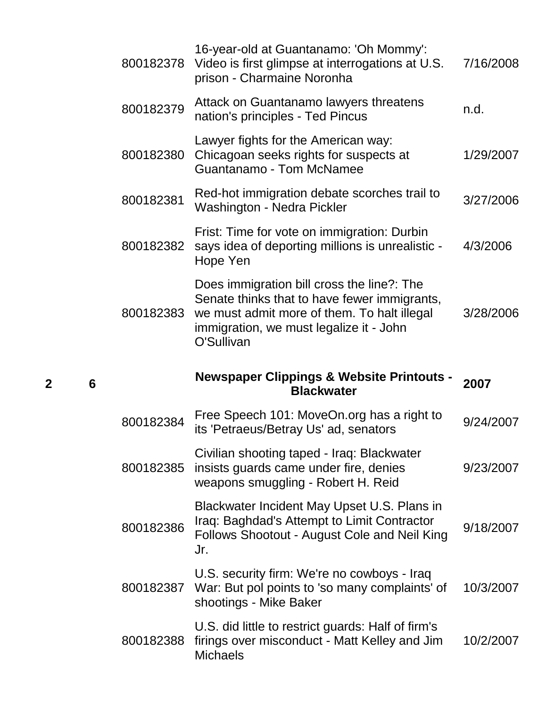| 800182378 | 16-year-old at Guantanamo: 'Oh Mommy':<br>Video is first glimpse at interrogations at U.S.<br>prison - Charmaine Noronha                                                                           | 7/16/2008 |
|-----------|----------------------------------------------------------------------------------------------------------------------------------------------------------------------------------------------------|-----------|
| 800182379 | Attack on Guantanamo lawyers threatens<br>nation's principles - Ted Pincus                                                                                                                         | n.d.      |
| 800182380 | Lawyer fights for the American way:<br>Chicagoan seeks rights for suspects at<br><b>Guantanamo - Tom McNamee</b>                                                                                   | 1/29/2007 |
| 800182381 | Red-hot immigration debate scorches trail to<br>Washington - Nedra Pickler                                                                                                                         | 3/27/2006 |
| 800182382 | Frist: Time for vote on immigration: Durbin<br>says idea of deporting millions is unrealistic -<br>Hope Yen                                                                                        | 4/3/2006  |
| 800182383 | Does immigration bill cross the line?: The<br>Senate thinks that to have fewer immigrants,<br>we must admit more of them. To halt illegal<br>immigration, we must legalize it - John<br>O'Sullivan | 3/28/2006 |
|           |                                                                                                                                                                                                    |           |
|           | <b>Newspaper Clippings &amp; Website Printouts -</b><br><b>Blackwater</b>                                                                                                                          | 2007      |
| 800182384 | Free Speech 101: MoveOn.org has a right to<br>its 'Petraeus/Betray Us' ad, senators                                                                                                                | 9/24/2007 |
| 800182385 | Civilian shooting taped - Iraq: Blackwater<br>insists guards came under fire, denies<br>weapons smuggling - Robert H. Reid                                                                         | 9/23/2007 |
| 800182386 | Blackwater Incident May Upset U.S. Plans in<br>Iraq: Baghdad's Attempt to Limit Contractor<br>Follows Shootout - August Cole and Neil King<br>Jr.                                                  | 9/18/2007 |
| 800182387 | U.S. security firm: We're no cowboys - Iraq<br>War: But pol points to 'so many complaints' of<br>shootings - Mike Baker                                                                            | 10/3/2007 |